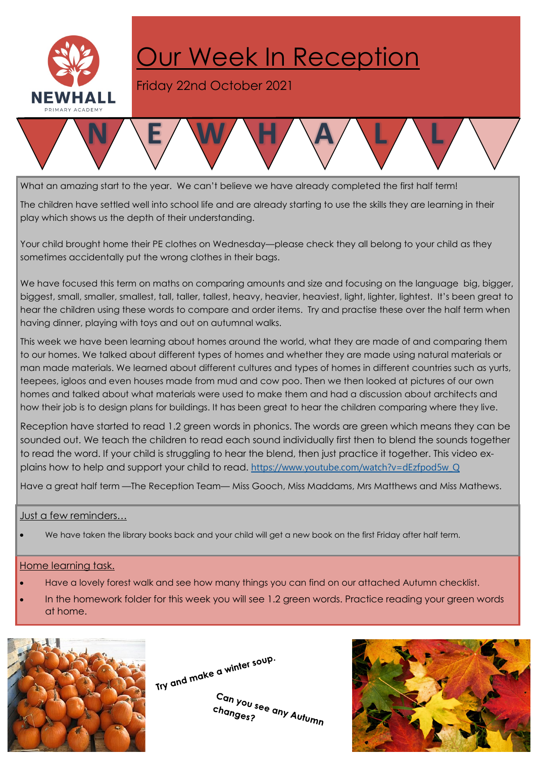

## Our Week In Reception

Friday 22nd October 2021



What an amazing start to the year. We can't believe we have already completed the first half term!

The children have settled well into school life and are already starting to use the skills they are learning in their play which shows us the depth of their understanding.

Your child brought home their PE clothes on Wednesday—please check they all belong to your child as they sometimes accidentally put the wrong clothes in their bags.

We have focused this term on maths on comparing amounts and size and focusing on the language big, bigger, biggest, small, smaller, smallest, tall, taller, tallest, heavy, heavier, heaviest, light, lighter, lightest. It's been great to hear the children using these words to compare and order items. Try and practise these over the half term when having dinner, playing with toys and out on autumnal walks.

This week we have been learning about homes around the world, what they are made of and comparing them to our homes. We talked about different types of homes and whether they are made using natural materials or man made materials. We learned about different cultures and types of homes in different countries such as yurts, teepees, igloos and even houses made from mud and cow poo. Then we then looked at pictures of our own homes and talked about what materials were used to make them and had a discussion about architects and how their job is to design plans for buildings. It has been great to hear the children comparing where they live.

Reception have started to read 1.2 green words in phonics. The words are green which means they can be sounded out. We teach the children to read each sound individually first then to blend the sounds together to read the word. If your child is struggling to hear the blend, then just practice it together. This video explains how to help and support your child to read. https://www.youtube.com/watch?v=dEzfpod5w\_Q

Have a great half term —The Reception Team— Miss Gooch, Miss Maddams, Mrs Matthews and Miss Mathews.

## Just a few reminders…

· We have taken the library books back and your child will get a new book on the first Friday after half term.

## Home learning task.

- · Have a lovely forest walk and see how many things you can find on our attached Autumn checklist.
- In the homework folder for this week you will see 1.2 green words. Practice reading your green words at home.



Try and make a winter soup.

Can you see any Autumn<br>changes? changes?